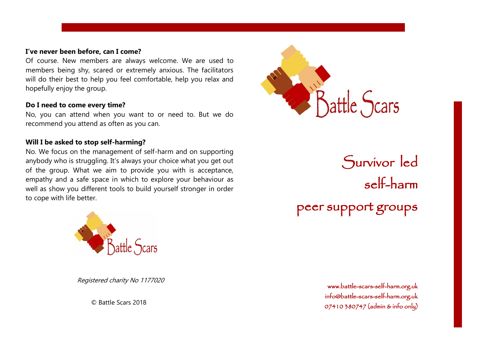### **I've never been before, can I come?**

Of course. New members are always welcome. We are used to members being shy, scared or extremely anxious. The facilitators will do their best to help you feel comfortable, help you relax and hopefully enjoy the group.

### **Do I need to come every time?**

No, you can attend when you want to or need to. But we do recommend you attend as often as you can.

## **Will I be asked to stop self-harming?**

No. We focus on the management of self-harm and on supporting anybody who is struggling. It's always your choice what you get out of the group. What we aim to provide you with is acceptance, empathy and a safe space in which to explore your behaviour as well as show you different tools to build yourself stronger in order to cope with life better.



Registered charity No 1177020

© Battle Scars 2018



Survivor led self-harm peer support groups

> [www.battle-scars-self-harm.org.uk](http://www.battle-scars-self-harm.org.uk/)  [info@battle-scars-self-harm.org.uk](mailto:info@battle-scars-self-harm.org.uk)  07410 380747 (admin & info only)